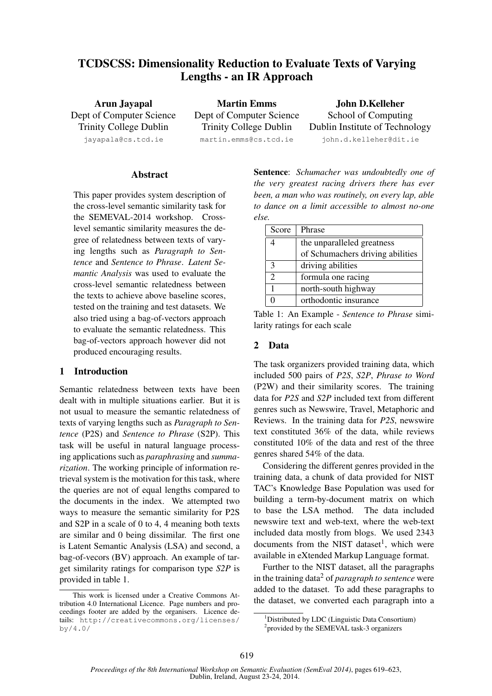# TCDSCSS: Dimensionality Reduction to Evaluate Texts of Varying Lengths - an IR Approach

Arun Jayapal Dept of Computer Science Trinity College Dublin jayapala@cs.tcd.ie

Martin Emms Dept of Computer Science Trinity College Dublin martin.emms@cs.tcd.ie

John D.Kelleher School of Computing Dublin Institute of Technology john.d.kelleher@dit.ie

#### **Abstract**

This paper provides system description of the cross-level semantic similarity task for the SEMEVAL-2014 workshop. Crosslevel semantic similarity measures the degree of relatedness between texts of varying lengths such as *Paragraph to Sentence* and *Sentence to Phrase*. *Latent Semantic Analysis* was used to evaluate the cross-level semantic relatedness between the texts to achieve above baseline scores, tested on the training and test datasets. We also tried using a bag-of-vectors approach to evaluate the semantic relatedness. This bag-of-vectors approach however did not produced encouraging results.

# 1 Introduction

Semantic relatedness between texts have been dealt with in multiple situations earlier. But it is not usual to measure the semantic relatedness of texts of varying lengths such as *Paragraph to Sentence* (P2S) and *Sentence to Phrase* (S2P). This task will be useful in natural language processing applications such as *paraphrasing* and *summarization*. The working principle of information retrieval system is the motivation for this task, where the queries are not of equal lengths compared to the documents in the index. We attempted two ways to measure the semantic similarity for P2S and S2P in a scale of 0 to 4, 4 meaning both texts are similar and 0 being dissimilar. The first one is Latent Semantic Analysis (LSA) and second, a bag-of-vecors (BV) approach. An example of target similarity ratings for comparison type *S2P* is provided in table 1.

Sentence: *Schumacher was undoubtedly one of the very greatest racing drivers there has ever been, a man who was routinely, on every lap, able to dance on a limit accessible to almost no-one else.*

| Score         | Phrase                           |
|---------------|----------------------------------|
|               | the unparalleled greatness       |
|               | of Schumachers driving abilities |
| $\mathbf 3$   | driving abilities                |
| $\mathcal{D}$ | formula one racing               |
|               | north-south highway              |
|               | orthodontic insurance            |

Table 1: An Example - *Sentence to Phrase* similarity ratings for each scale

#### 2 Data

The task organizers provided training data, which included 500 pairs of *P2S*, *S2P*, *Phrase to Word* (P2W) and their similarity scores. The training data for *P2S* and *S2P* included text from different genres such as Newswire, Travel, Metaphoric and Reviews. In the training data for *P2S*, newswire text constituted 36% of the data, while reviews constituted 10% of the data and rest of the three genres shared 54% of the data.

Considering the different genres provided in the training data, a chunk of data provided for NIST TAC's Knowledge Base Population was used for building a term-by-document matrix on which to base the LSA method. The data included newswire text and web-text, where the web-text included data mostly from blogs. We used 2343 documents from the NIST dataset<sup>1</sup>, which were available in eXtended Markup Language format.

Further to the NIST dataset, all the paragraphs in the training data<sup>2</sup> of *paragraph to sentence* were added to the dataset. To add these paragraphs to the dataset, we converted each paragraph into a

This work is licensed under a Creative Commons Attribution 4.0 International Licence. Page numbers and proceedings footer are added by the organisers. Licence details: http://creativecommons.org/licenses/ by/4.0/

<sup>&</sup>lt;sup>1</sup>Distributed by LDC (Linguistic Data Consortium) <sup>2</sup> provided by the SEMEVAL task-3 organizers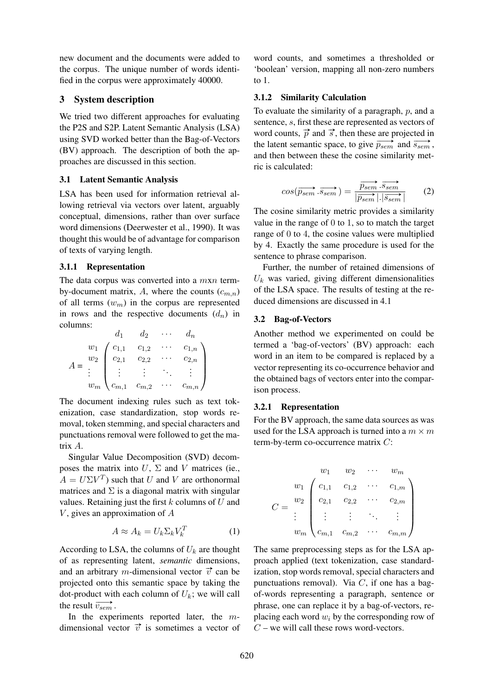new document and the documents were added to the corpus. The unique number of words identified in the corpus were approximately 40000.

# 3 System description

We tried two different approaches for evaluating the P2S and S2P. Latent Semantic Analysis (LSA) using SVD worked better than the Bag-of-Vectors (BV) approach. The description of both the approaches are discussed in this section.

#### 3.1 Latent Semantic Analysis

LSA has been used for information retrieval allowing retrieval via vectors over latent, arguably conceptual, dimensions, rather than over surface word dimensions (Deerwester et al., 1990). It was thought this would be of advantage for comparison of texts of varying length.

## 3.1.1 Representation

The data corpus was converted into a  $mxn$  termby-document matrix, A, where the counts  $(c_{m,n})$ of all terms  $(w_m)$  in the corpus are represented in rows and the respective documents  $(d_n)$  in columns:

$$
A = \begin{pmatrix} d_1 & d_2 & \cdots & d_n \\ w_1 & c_{1,1} & c_{1,2} & \cdots & c_{1,n} \\ w_2 & c_{2,1} & c_{2,2} & \cdots & c_{2,n} \\ \vdots & \vdots & \vdots & \ddots & \vdots \\ w_m & c_{m,1} & c_{m,2} & \cdots & c_{m,n} \end{pmatrix}
$$

The document indexing rules such as text tokenization, case standardization, stop words removal, token stemming, and special characters and punctuations removal were followed to get the matrix A.

Singular Value Decomposition (SVD) decomposes the matrix into  $U$ ,  $\Sigma$  and  $V$  matrices (ie.,  $A = U\Sigma V^T$ ) such that U and V are orthonormal matrices and  $\Sigma$  is a diagonal matrix with singular values. Retaining just the first  $k$  columns of  $U$  and  $V$ , gives an approximation of  $A$ 

$$
A \approx A_k = U_k \Sigma_k V_k^T \tag{1}
$$

According to LSA, the columns of  $U_k$  are thought of as representing latent, *semantic* dimensions, and an arbitrary m-dimensional vector  $\vec{v}$  can be projected onto this semantic space by taking the dot-product with each column of  $U_k$ ; we will call the result  $\overrightarrow{v_{sem}}$ .

In the experiments reported later, the mdimensional vector  $\vec{v}$  is sometimes a vector of

word counts, and sometimes a thresholded or 'boolean' version, mapping all non-zero numbers to 1.

## 3.1.2 Similarity Calculation

To evaluate the similarity of a paragraph, p, and a sentence, s, first these are represented as vectors of word counts,  $\vec{p}$  and  $\vec{s}$ , then these are projected in the latent semantic space, to give  $\overrightarrow{p_{sem}}$  and  $\overrightarrow{s_{sem}}$ , and then between these the cosine similarity metric is calculated:

$$
cos(\overrightarrow{p_{sem}}.\overrightarrow{s_{sem}}) = \frac{\overrightarrow{p_{sem}}.\overrightarrow{s_{sem}}}{|\overrightarrow{p_{sem}}|.| \overrightarrow{s_{sem}}}
$$
 (2)

The cosine similarity metric provides a similarity value in the range of 0 to 1, so to match the target range of 0 to 4, the cosine values were multiplied by 4. Exactly the same procedure is used for the sentence to phrase comparison.

Further, the number of retained dimensions of  $U_k$  was varied, giving different dimensionalities of the LSA space. The results of testing at the reduced dimensions are discussed in 4.1

## 3.2 Bag-of-Vectors

Another method we experimented on could be termed a 'bag-of-vectors' (BV) approach: each word in an item to be compared is replaced by a vector representing its co-occurrence behavior and the obtained bags of vectors enter into the comparison process.

#### 3.2.1 Representation

For the BV approach, the same data sources as was used for the LSA approach is turned into a  $m \times m$ term-by-term co-occurrence matrix C:

$$
C = \begin{pmatrix} w_1 & w_2 & \cdots & w_m \\ w_1 & c_{1,1} & c_{1,2} & \cdots & c_{1,m} \\ c_{2,1} & c_{2,2} & \cdots & c_{2,m} \\ \vdots & \vdots & \vdots & \ddots & \vdots \\ w_m & c_{m,1} & c_{m,2} & \cdots & c_{m,m} \end{pmatrix}
$$

The same preprocessing steps as for the LSA approach applied (text tokenization, case standardization, stop words removal, special characters and punctuations removal). Via  $C$ , if one has a bagof-words representing a paragraph, sentence or phrase, one can replace it by a bag-of-vectors, replacing each word  $w_i$  by the corresponding row of  $C$  – we will call these rows word-vectors.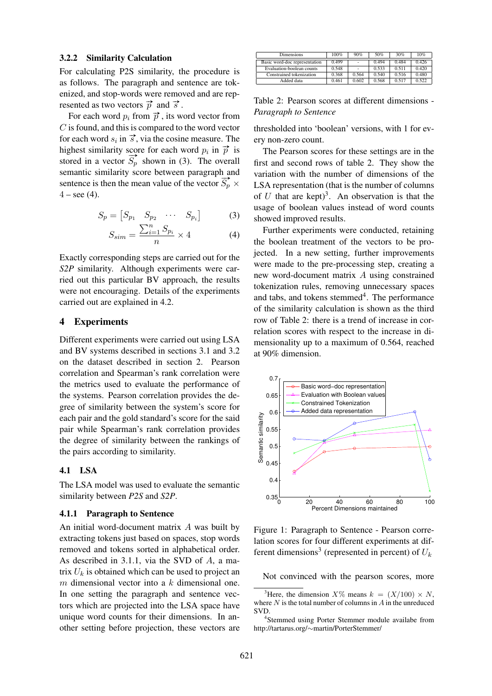#### 3.2.2 Similarity Calculation

For calculating P2S similarity, the procedure is as follows. The paragraph and sentence are tokenized, and stop-words were removed and are represented as two vectors  $\vec{p}$  and  $\vec{s}$ .

For each word  $p_i$  from  $\vec{p}$ , its word vector from C is found, and this is compared to the word vector for each word  $s_i$  in  $\vec{s}$ , via the cosine measure. The highest similarity score for each word  $p_i$  in  $\vec{p}$  is stored in a vector  $\overrightarrow{S_p}$  shown in (3). The overall semantic similarity score between paragraph and sentence is then the mean value of the vector  $S_p \times$  $4 - \sec(4)$ .

$$
S_p = \begin{bmatrix} S_{p_1} & S_{p_2} & \cdots & S_{p_i} \end{bmatrix} \tag{3}
$$

$$
S_{sim} = \frac{\sum_{i=1}^{n} S_{p_i}}{n} \times 4 \tag{4}
$$

Exactly corresponding steps are carried out for the *S2P* similarity. Although experiments were carried out this particular BV approach, the results were not encouraging. Details of the experiments carried out are explained in 4.2.

## 4 Experiments

Different experiments were carried out using LSA and BV systems described in sections 3.1 and 3.2 on the dataset described in section 2. Pearson correlation and Spearman's rank correlation were the metrics used to evaluate the performance of the systems. Pearson correlation provides the degree of similarity between the system's score for each pair and the gold standard's score for the said pair while Spearman's rank correlation provides the degree of similarity between the rankings of the pairs according to similarity.

#### 4.1 LSA

The LSA model was used to evaluate the semantic similarity between *P2S* and *S2P*.

#### 4.1.1 Paragraph to Sentence

An initial word-document matrix A was built by extracting tokens just based on spaces, stop words removed and tokens sorted in alphabetical order. As described in 3.1.1, via the SVD of A, a matrix  $U_k$  is obtained which can be used to project an  $m$  dimensional vector into a  $k$  dimensional one. In one setting the paragraph and sentence vectors which are projected into the LSA space have unique word counts for their dimensions. In another setting before projection, these vectors are

| <b>Dimensions</b>             | 100%  | 90%            | 50%   | 30%   | 10%   |
|-------------------------------|-------|----------------|-------|-------|-------|
| Basic word-doc representation | 0.499 | $\blacksquare$ | 0.494 | 0.484 | 0.426 |
| Evaluation-boolean counts     | 0.548 |                | 0.533 | 0.511 | 0.420 |
| Constrained tokenization      | 0.368 | 0.564          | 0.540 | 0.516 | 0.480 |
| Added data                    | 0.461 | 0.602          | 0.568 | 0.517 | 0.522 |

Table 2: Pearson scores at different dimensions - *Paragraph to Sentence*

thresholded into 'boolean' versions, with 1 for every non-zero count.

The Pearson scores for these settings are in the first and second rows of table 2. They show the variation with the number of dimensions of the LSA representation (that is the number of columns of U that are kept)<sup>3</sup>. An observation is that the usage of boolean values instead of word counts showed improved results.

Further experiments were conducted, retaining the boolean treatment of the vectors to be projected. In a new setting, further improvements were made to the pre-processing step, creating a new word-document matrix A using constrained tokenization rules, removing unnecessary spaces and tabs, and tokens stemmed $4$ . The performance of the similarity calculation is shown as the third row of Table 2: there is a trend of increase in correlation scores with respect to the increase in dimensionality up to a maximum of 0.564, reached at 90% dimension.



Figure 1: Paragraph to Sentence - Pearson correlation scores for four different experiments at different dimensions<sup>3</sup> (represented in percent) of  $U_k$ 

Not convinced with the pearson scores, more

<sup>&</sup>lt;sup>3</sup>Here, the dimension  $X\%$  means  $k = (X/100) \times N$ . where  $N$  is the total number of columns in  $A$  in the unreduced SVD.

<sup>4</sup> Stemmed using Porter Stemmer module availabe from http://tartarus.org/∼martin/PorterStemmer/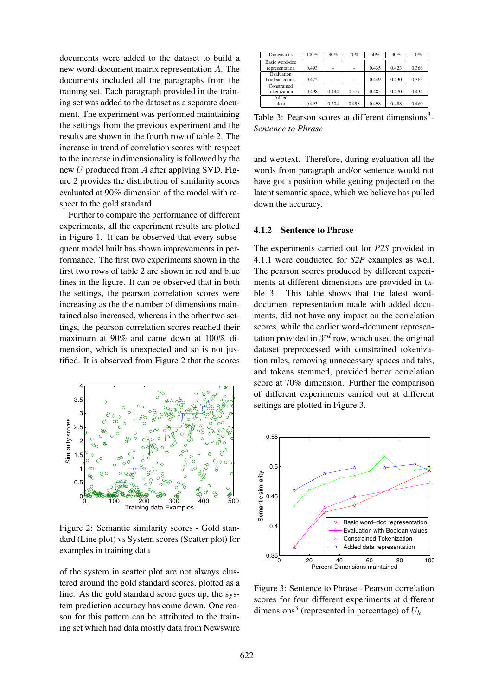documents were added to the dataset to build a new word-document matrix representation A. The documents included all the paragraphs from the training set. Each paragraph provided in the training set was added to the dataset as a separate document. The experiment was performed maintaining the settings from the previous experiment and the results are shown in the fourth row of table 2. The increase in trend of correlation scores with respect to the increase in dimensionality is followed by the new U produced from A after applying SVD. Figure 2 provides the distribution of similarity scores evaluated at 90% dimension of the model with respect to the gold standard.

Further to compare the performance of different experiments, all the experiment results are plotted in Figure 1. It can be observed that every subsequent model built has shown improvements in performance. The first two experiments shown in the first two rows of table 2 are shown in red and blue lines in the figure. It can be observed that in both the settings, the pearson correlation scores were increasing as the the number of dimensions maintained also increased, whereas in the other two settings, the pearson correlation scores reached their maximum at 90% and came down at 100% dimension, which is unexpected and so is not justified. It is observed from Figure 2 that the scores



Figure 2: Semantic similarity scores - Gold standard (Line plot) vs System scores (Scatter plot) for examples in training data

of the system in scatter plot are not always clustered around the gold standard scores, plotted as a line. As the gold standard score goes up, the system prediction accuracy has come down. One reason for this pattern can be attributed to the training set which had data mostly data from Newswire

| <b>Dimensions</b> | 100%  | 90%   | 70%   | 50%   | 30%   | 10%   |
|-------------------|-------|-------|-------|-------|-------|-------|
| Basic word-doc    |       |       |       |       |       |       |
| representation    | 0.493 | ۰     |       | 0.435 | 0.423 | 0.366 |
| Evaluation        |       |       |       |       |       |       |
| boolean counts    | 0.472 | ۰     |       | 0.449 | 0.430 | 0.363 |
| Constrained       |       |       |       |       |       |       |
| tokenization      | 0.498 | 0.494 | 0.517 | 0.485 | 0.470 | 0.434 |
| Added             |       |       |       |       |       |       |
| data              | 0.493 | 0.504 | 0.498 | 0.498 | 0.488 | 0.460 |

Table 3: Pearson scores at different dimensions $3$ -*Sentence to Phrase*

and webtext. Therefore, during evaluation all the words from paragraph and/or sentence would not have got a position while getting projected on the latent semantic space, which we believe has pulled down the accuracy.

### 4.1.2 Sentence to Phrase

The experiments carried out for *P2S* provided in 4.1.1 were conducted for *S2P* examples as well. The pearson scores produced by different experiments at different dimensions are provided in table 3. This table shows that the latest worddocument representation made with added documents, did not have any impact on the correlation scores, while the earlier word-document representation provided in  $3^{rd}$  row, which used the original dataset preprocessed with constrained tokenization rules, removing unnecessary spaces and tabs, and tokens stemmed, provided better correlation score at 70% dimension. Further the comparison of different experiments carried out at different settings are plotted in Figure 3.



Figure 3: Sentence to Phrase - Pearson correlation scores for four different experiments at different dimensions<sup>3</sup> (represented in percentage) of  $U_k$